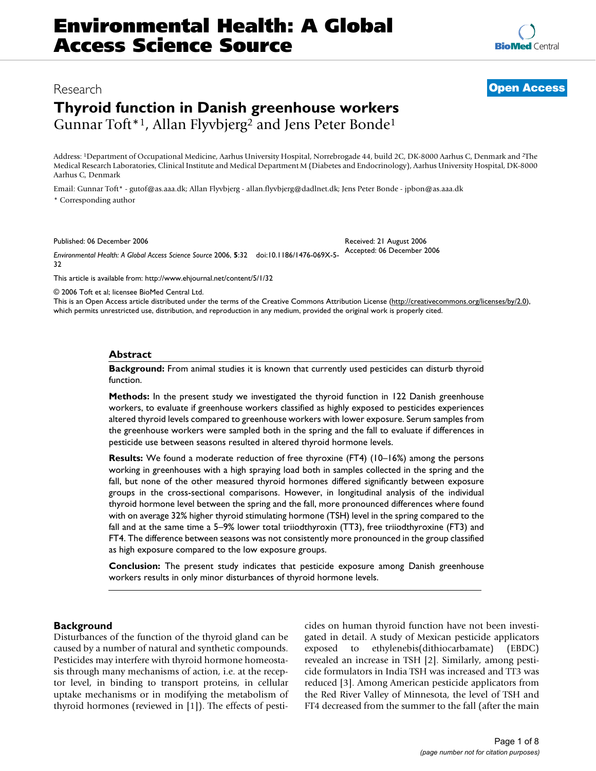# Research **[Open Access](http://www.biomedcentral.com/info/about/charter/)**

# **Thyroid function in Danish greenhouse workers** Gunnar Toft\*1, Allan Flyvbjerg2 and Jens Peter Bonde1

Address: 1Department of Occupational Medicine, Aarhus University Hospital, Norrebrogade 44, build 2C, DK-8000 Aarhus C, Denmark and 2The Medical Research Laboratories, Clinical Institute and Medical Department M (Diabetes and Endocrinology), Aarhus University Hospital, DK-8000 Aarhus C, Denmark

Received: 21 August 2006

Email: Gunnar Toft\* - gutof@as.aaa.dk; Allan Flyvbjerg - allan.flyvbjerg@dadlnet.dk; Jens Peter Bonde - jpbon@as.aaa.dk

\* Corresponding author

Published: 06 December 2006

*Environmental Health: A Global Access Science Source* 2006, **5**:32 doi:10.1186/1476-069X-5- 32 Accepted: 06 December 2006

[This article is available from: http://www.ehjournal.net/content/5/1/32](http://www.ehjournal.net/content/5/1/32)

© 2006 Toft et al; licensee BioMed Central Ltd.

This is an Open Access article distributed under the terms of the Creative Commons Attribution License [\(http://creativecommons.org/licenses/by/2.0\)](http://creativecommons.org/licenses/by/2.0), which permits unrestricted use, distribution, and reproduction in any medium, provided the original work is properly cited.

### **Abstract**

**Background:** From animal studies it is known that currently used pesticides can disturb thyroid function.

**Methods:** In the present study we investigated the thyroid function in 122 Danish greenhouse workers, to evaluate if greenhouse workers classified as highly exposed to pesticides experiences altered thyroid levels compared to greenhouse workers with lower exposure. Serum samples from the greenhouse workers were sampled both in the spring and the fall to evaluate if differences in pesticide use between seasons resulted in altered thyroid hormone levels.

**Results:** We found a moderate reduction of free thyroxine (FT4) (10–16%) among the persons working in greenhouses with a high spraying load both in samples collected in the spring and the fall, but none of the other measured thyroid hormones differed significantly between exposure groups in the cross-sectional comparisons. However, in longitudinal analysis of the individual thyroid hormone level between the spring and the fall, more pronounced differences where found with on average 32% higher thyroid stimulating hormone (TSH) level in the spring compared to the fall and at the same time a 5–9% lower total triiodthyroxin (TT3), free triiodthyroxine (FT3) and FT4. The difference between seasons was not consistently more pronounced in the group classified as high exposure compared to the low exposure groups.

**Conclusion:** The present study indicates that pesticide exposure among Danish greenhouse workers results in only minor disturbances of thyroid hormone levels.

# **Background**

Disturbances of the function of the thyroid gland can be caused by a number of natural and synthetic compounds. Pesticides may interfere with thyroid hormone homeostasis through many mechanisms of action, i.e. at the receptor level, in binding to transport proteins, in cellular uptake mechanisms or in modifying the metabolism of thyroid hormones (reviewed in [1]). The effects of pesticides on human thyroid function have not been investigated in detail. A study of Mexican pesticide applicators exposed to ethylenebis(dithiocarbamate) (EBDC) revealed an increase in TSH [2]. Similarly, among pesticide formulators in India TSH was increased and TT3 was reduced [3]. Among American pesticide applicators from the Red River Valley of Minnesota, the level of TSH and FT4 decreased from the summer to the fall (after the main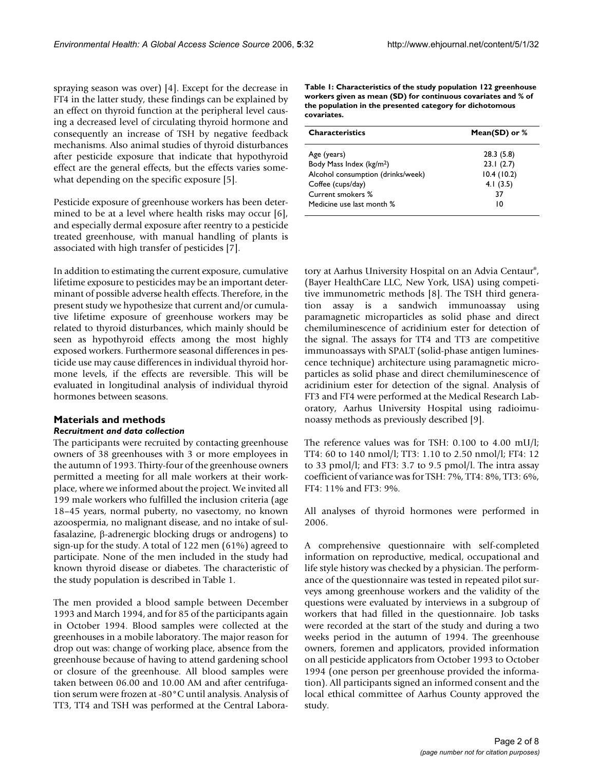spraying season was over) [4]. Except for the decrease in FT4 in the latter study, these findings can be explained by an effect on thyroid function at the peripheral level causing a decreased level of circulating thyroid hormone and consequently an increase of TSH by negative feedback mechanisms. Also animal studies of thyroid disturbances after pesticide exposure that indicate that hypothyroid effect are the general effects, but the effects varies somewhat depending on the specific exposure [5].

Pesticide exposure of greenhouse workers has been determined to be at a level where health risks may occur [6], and especially dermal exposure after reentry to a pesticide treated greenhouse, with manual handling of plants is associated with high transfer of pesticides [7].

In addition to estimating the current exposure, cumulative lifetime exposure to pesticides may be an important determinant of possible adverse health effects. Therefore, in the present study we hypothesize that current and/or cumulative lifetime exposure of greenhouse workers may be related to thyroid disturbances, which mainly should be seen as hypothyroid effects among the most highly exposed workers. Furthermore seasonal differences in pesticide use may cause differences in individual thyroid hormone levels, if the effects are reversible. This will be evaluated in longitudinal analysis of individual thyroid hormones between seasons.

### **Materials and methods** *Recruitment and data collection*

The participants were recruited by contacting greenhouse owners of 38 greenhouses with 3 or more employees in the autumn of 1993. Thirty-four of the greenhouse owners permitted a meeting for all male workers at their workplace, where we informed about the project. We invited all 199 male workers who fulfilled the inclusion criteria (age 18–45 years, normal puberty, no vasectomy, no known azoospermia, no malignant disease, and no intake of sulfasalazine, β-adrenergic blocking drugs or androgens) to sign-up for the study. A total of 122 men (61%) agreed to participate. None of the men included in the study had known thyroid disease or diabetes. The characteristic of the study population is described in Table 1.

The men provided a blood sample between December 1993 and March 1994, and for 85 of the participants again in October 1994. Blood samples were collected at the greenhouses in a mobile laboratory. The major reason for drop out was: change of working place, absence from the greenhouse because of having to attend gardening school or closure of the greenhouse. All blood samples were taken between 06.00 and 10.00 AM and after centrifugation serum were frozen at -80°C until analysis. Analysis of TT3, TT4 and TSH was performed at the Central Labora**Table 1: Characteristics of the study population 122 greenhouse workers given as mean (SD) for continuous covariates and % of the population in the presented category for dichotomous covariates.**

| <b>Characteristics</b>               | Mean(SD) or $%$ |
|--------------------------------------|-----------------|
| Age (years)                          | 28.3(5.8)       |
| Body Mass Index (kg/m <sup>2</sup> ) | 23.1(2.7)       |
| Alcohol consumption (drinks/week)    | 10.4(10.2)      |
| Coffee (cups/day)                    | 4.1(3.5)        |
| Current smokers %                    | 37              |
| Medicine use last month %            | 10              |
|                                      |                 |

tory at Aarhus University Hospital on an Advia Centaur®, (Bayer HealthCare LLC, New York, USA) using competitive immunometric methods [8]. The TSH third generation assay is a sandwich immunoassay using paramagnetic microparticles as solid phase and direct chemiluminescence of acridinium ester for detection of the signal. The assays for TT4 and TT3 are competitive immunoassays with SPALT (solid-phase antigen luminescence technique) architecture using paramagnetic microparticles as solid phase and direct chemiluminescence of acridinium ester for detection of the signal. Analysis of FT3 and FT4 were performed at the Medical Research Laboratory, Aarhus University Hospital using radioimunoassy methods as previously described [9].

The reference values was for TSH: 0.100 to 4.00 mU/l; TT4: 60 to 140 nmol/l; TT3: 1.10 to 2.50 nmol/l; FT4: 12 to 33 pmol/l; and FT3: 3.7 to 9.5 pmol/l. The intra assay coefficient of variance was for TSH: 7%, TT4: 8%, TT3: 6%, FT4: 11% and FT3: 9%.

All analyses of thyroid hormones were performed in 2006.

A comprehensive questionnaire with self-completed information on reproductive, medical, occupational and life style history was checked by a physician. The performance of the questionnaire was tested in repeated pilot surveys among greenhouse workers and the validity of the questions were evaluated by interviews in a subgroup of workers that had filled in the questionnaire. Job tasks were recorded at the start of the study and during a two weeks period in the autumn of 1994. The greenhouse owners, foremen and applicators, provided information on all pesticide applicators from October 1993 to October 1994 (one person per greenhouse provided the information). All participants signed an informed consent and the local ethical committee of Aarhus County approved the study.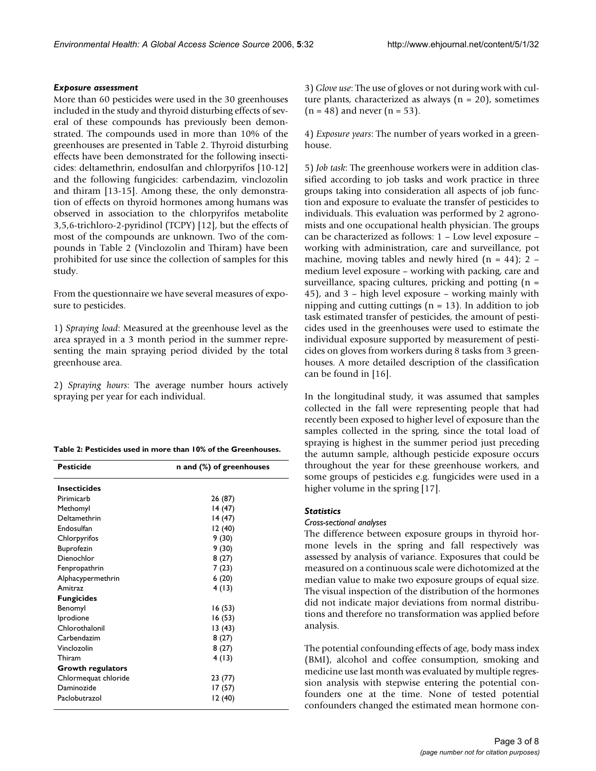### *Exposure assessment*

More than 60 pesticides were used in the 30 greenhouses included in the study and thyroid disturbing effects of several of these compounds has previously been demonstrated. The compounds used in more than 10% of the greenhouses are presented in Table 2. Thyroid disturbing effects have been demonstrated for the following insecticides: deltamethrin, endosulfan and chlorpyrifos [10-12] and the following fungicides: carbendazim, vinclozolin and thiram [13-[15](#page-7-0)]. Among these, the only demonstration of effects on thyroid hormones among humans was observed in association to the chlorpyrifos metabolite 3,5,6-trichloro-2-pyridinol (TCPY) [12], but the effects of most of the compounds are unknown. Two of the compounds in Table 2 (Vinclozolin and Thiram) have been prohibited for use since the collection of samples for this study.

From the questionnaire we have several measures of exposure to pesticides.

1) *Spraying load*: Measured at the greenhouse level as the area sprayed in a 3 month period in the summer representing the main spraying period divided by the total greenhouse area.

2) *Spraying hours*: The average number hours actively spraying per year for each individual.

| Table 2: Pesticides used in more than 10% of the Greenhouses. |  |  |
|---------------------------------------------------------------|--|--|
|                                                               |  |  |

| <b>Pesticide</b>         | $n$ and $(\%)$ of greenhouses |
|--------------------------|-------------------------------|
| <b>Insecticides</b>      |                               |
| Pirimicarb               | 26 (87)                       |
| Methomyl                 | 14(47)                        |
| Deltamethrin             | 14 (47)                       |
| Endosulfan               | 12(40)                        |
| Chlorpyrifos             | 9(30)                         |
| <b>Buprofezin</b>        | 9(30)                         |
| Dienochlor               | 8(27)                         |
| Fenpropathrin            | 7(23)                         |
| Alphacypermethrin        | 6(20)                         |
| Amitraz                  | 4(13)                         |
| <b>Fungicides</b>        |                               |
| Benomyl                  | 16(53)                        |
| Iprodione                | 16 (53)                       |
| Chlorothalonil           | 13(43)                        |
| Carbendazim              | 8(27)                         |
| Vinclozolin              | 8(27)                         |
| Thiram                   | 4(13)                         |
| <b>Growth regulators</b> |                               |
| Chlormequat chloride     | 23 (77)                       |
| Daminozide               | 17(57)                        |
| Paclobutrazol            | 12(40)                        |

3) *Glove use*: The use of gloves or not during work with culture plants, characterized as always  $(n = 20)$ , sometimes  $(n = 48)$  and never  $(n = 53)$ .

4) *Exposure years*: The number of years worked in a greenhouse.

5) *Job task*: The greenhouse workers were in addition classified according to job tasks and work practice in three groups taking into consideration all aspects of job function and exposure to evaluate the transfer of pesticides to individuals. This evaluation was performed by 2 agronomists and one occupational health physician. The groups can be characterized as follows: 1 – Low level exposure – working with administration, care and surveillance, pot machine, moving tables and newly hired  $(n = 44)$ ; 2 – medium level exposure – working with packing, care and surveillance, spacing cultures, pricking and potting  $(n =$ 45), and 3 – high level exposure – working mainly with nipping and cutting cuttings  $(n = 13)$ . In addition to job task estimated transfer of pesticides, the amount of pesticides used in the greenhouses were used to estimate the individual exposure supported by measurement of pesticides on gloves from workers during 8 tasks from 3 greenhouses. A more detailed description of the classification can be found in [16].

In the longitudinal study, it was assumed that samples collected in the fall were representing people that had recently been exposed to higher level of exposure than the samples collected in the spring, since the total load of spraying is highest in the summer period just preceding the autumn sample, although pesticide exposure occurs throughout the year for these greenhouse workers, and some groups of pesticides e.g. fungicides were used in a higher volume in the spring [17].

### *Statistics*

### *Cross-sectional analyses*

The difference between exposure groups in thyroid hormone levels in the spring and fall respectively was assessed by analysis of variance. Exposures that could be measured on a continuous scale were dichotomized at the median value to make two exposure groups of equal size. The visual inspection of the distribution of the hormones did not indicate major deviations from normal distributions and therefore no transformation was applied before analysis.

The potential confounding effects of age, body mass index (BMI), alcohol and coffee consumption, smoking and medicine use last month was evaluated by multiple regression analysis with stepwise entering the potential confounders one at the time. None of tested potential confounders changed the estimated mean hormone con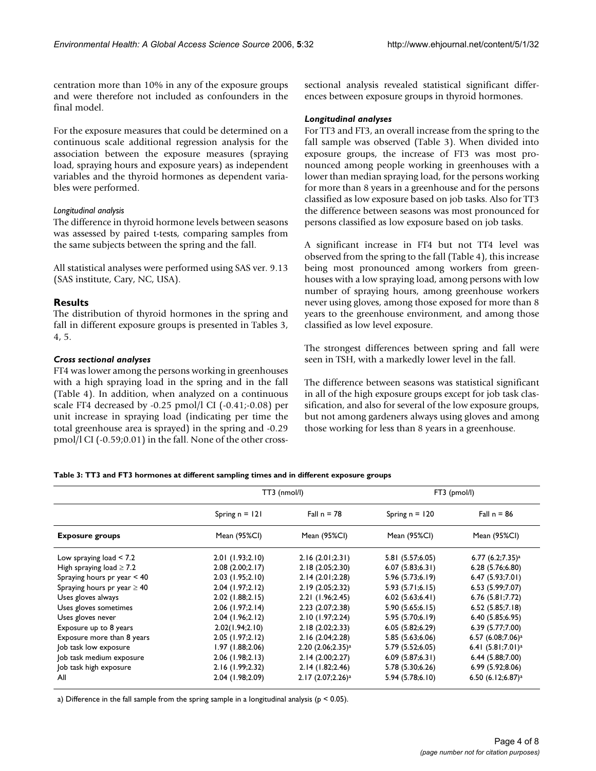centration more than 10% in any of the exposure groups and were therefore not included as confounders in the final model.

For the exposure measures that could be determined on a continuous scale additional regression analysis for the association between the exposure measures (spraying load, spraying hours and exposure years) as independent variables and the thyroid hormones as dependent variables were performed.

### *Longitudinal analysis*

The difference in thyroid hormone levels between seasons was assessed by paired t-tests, comparing samples from the same subjects between the spring and the fall.

All statistical analyses were performed using SAS ver. 9.13 (SAS institute, Cary, NC, USA).

# **Results**

The distribution of thyroid hormones in the spring and fall in different exposure groups is presented in Tables 3, 4, 5.

# *Cross sectional analyses*

FT4 was lower among the persons working in greenhouses with a high spraying load in the spring and in the fall (Table 4). In addition, when analyzed on a continuous scale FT4 decreased by -0.25 pmol/l CI (-0.41;-0.08) per unit increase in spraying load (indicating per time the total greenhouse area is sprayed) in the spring and -0.29 pmol/l CI (-0.59;0.01) in the fall. None of the other crosssectional analysis revealed statistical significant differences between exposure groups in thyroid hormones.

### *Longitudinal analyses*

For TT3 and FT3, an overall increase from the spring to the fall sample was observed (Table 3). When divided into exposure groups, the increase of FT3 was most pronounced among people working in greenhouses with a lower than median spraying load, for the persons working for more than 8 years in a greenhouse and for the persons classified as low exposure based on job tasks. Also for TT3 the difference between seasons was most pronounced for persons classified as low exposure based on job tasks.

A significant increase in FT4 but not TT4 level was observed from the spring to the fall (Table 4), this increase being most pronounced among workers from greenhouses with a low spraying load, among persons with low number of spraying hours, among greenhouse workers never using gloves, among those exposed for more than 8 years to the greenhouse environment, and among those classified as low level exposure.

The strongest differences between spring and fall were seen in TSH, with a markedly lower level in the fall.

The difference between seasons was statistical significant in all of the high exposure groups except for job task classification, and also for several of the low exposure groups, but not among gardeners always using gloves and among those working for less than 8 years in a greenhouse.

|                                  | TT3 (nmol/l)       |                               | $FT3$ (pmol/l)   |                       |
|----------------------------------|--------------------|-------------------------------|------------------|-----------------------|
|                                  | Spring $n = 121$   | Fall $n = 78$                 | Spring $n = 120$ | Fall $n = 86$         |
| <b>Exposure groups</b>           | Mean (95%CI)       | Mean (95%CI)                  | Mean (95%CI)     | Mean (95%CI)          |
| Low spraying load $<$ 7.2        | 2.01(1.93;2.10)    | 2.16(2.01;2.31)               | 5.81 (5.57;6.05) | $6.77(6.2;7.35)^a$    |
| High spraying load $\geq 7.2$    | 2.08(2.00;2.17)    | 2.18(2.05;2.30)               | 6.07(5.83; 6.31) | 6.28(5.76;6.80)       |
| Spraying hours pr year $<$ 40    | 2.03(1.95;2.10)    | 2.14(2.01;2.28)               | 5.96 (5.73;6.19) | 6.47(5.93;7.01)       |
| Spraying hours pr year $\geq 40$ | 2.04(1.97;2.12)    | 2.19 (2.05;2.32)              | 5.93 (5.71;6.15) | 6.53(5.99;7.07)       |
| Uses gloves always               | $2.02$ (1.88;2.15) | 2.21 (1.96;2.45)              | 6.02(5.63; 6.41) | 6.76(5.81;7.72)       |
| Uses gloves sometimes            | 2.06(1.97;2.14)    | 2.23 (2.07;2.38)              | 5.90(5.65; 6.15) | 6.52(5.85;7.18)       |
| Uses gloves never                | 2.04(1.96;2.12)    | 2.10 (1.97;2.24)              | 5.95 (5.70;6.19) | 6.40(5.85;6.95)       |
| Exposure up to 8 years           | 2.02(1.94;2.10)    | 2.18(2.02;2.33)               | 6.05(5.82; 6.29) | 6.39(5.77;7.00)       |
| Exposure more than 8 years       | 2.05(1.97;2.12)    | 2.16 (2.04;2.28)              | 5.85 (5.63;6.06) | 6.57 $(6.08;7.06)^a$  |
| Job task low exposure            | 1.97(1.88;2.06)    | 2.20 (2.06;2.35) <sup>a</sup> | 5.79 (5.52;6.05) | 6.41 $(5.81;7.01)^a$  |
| Job task medium exposure         | 2.06(1.98;2.13)    | 2.14(2.00;2.27)               | 6.09(5.87;6.31)  | 6.44(5.88;7.00)       |
| Job task high exposure           | 2.16 (1.99;2.32)   | 2.14 (1.82;2.46)              | 5.78 (5.30;6.26) | 6.99(5.92;8.06)       |
| All                              | 2.04 (1.98;2.09)   | 2.17 (2.07;2.26) <sup>a</sup> | 5.94 (5.78;6.10) | 6.50 $(6.12; 6.87)^a$ |

a) Difference in the fall sample from the spring sample in a longitudinal analysis ( $p < 0.05$ ).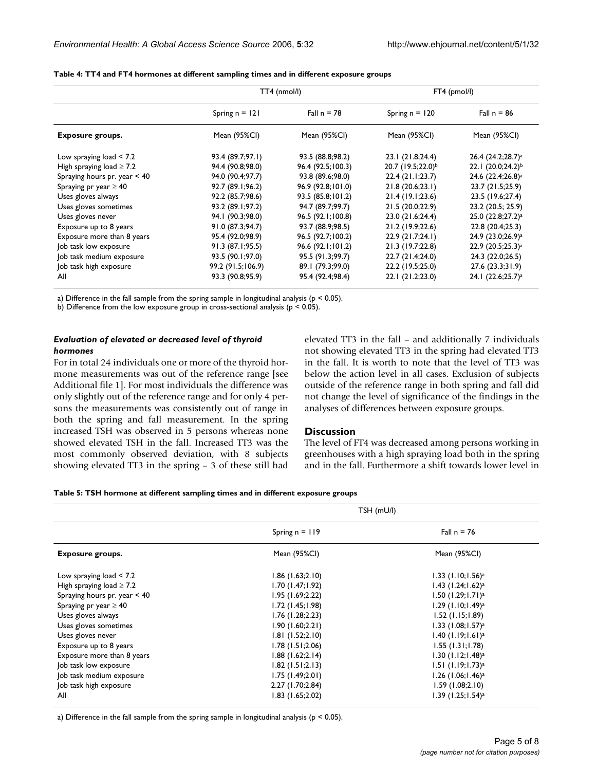|                                | TT4 (nmol/l)      |                   | FT4 (pmol/l)      |                               |
|--------------------------------|-------------------|-------------------|-------------------|-------------------------------|
|                                | Spring $n = 121$  | Fall $n = 78$     | Spring $n = 120$  | Fall $n = 86$                 |
| <b>Exposure groups.</b>        | Mean (95%CI)      | Mean (95%CI)      | Mean (95%CI)      | Mean (95%CI)                  |
| Low spraying load $< 7.2$      | 93.4 (89.7;97.1)  | 93.5 (88.8;98.2)  | 23.1 (21.8;24.4)  | 26.4 (24.2;28.7) <sup>a</sup> |
| High spraying load $\geq 7.2$  | 94.4 (90.8;98.0)  | 96.4 (92.5;100.3) | 20.7 (19.5;22.0)b | 22.1 (20.0;24.2) <sup>b</sup> |
| Spraying hours pr. year $<$ 40 | 94.0 (90.4;97.7)  | 93.8 (89.6;98.0)  | 22.4(21.1;23.7)   | 24.6 (22.4;26.8) <sup>a</sup> |
| Spraying pr year $\geq 40$     | 92.7 (89.1;96.2)  | 96.9 (92.8;101.0) | 21.8(20.6;23.1)   | 23.7 (21.5;25.9)              |
| Uses gloves always             | 92.2 (85.7;98.6)  | 93.5 (85.8;101.2) | 21.4 (19.1;23.6)  | 23.5 (19.6;27.4)              |
| Uses gloves sometimes          | 93.2 (89.1;97.2)  | 94.7 (89.7;99.7)  | 21.5 (20.0;22.9)  | 23.2 (20.5; 25.9)             |
| Uses gloves never              | 94.1 (90.3;98.0)  | 96.5 (92.1;100.8) | 23.0 (21.6;24.4)  | 25.0 (22.8;27.2) <sup>a</sup> |
| Exposure up to 8 years         | 91.0 (87.3;94.7)  | 93.7 (88.9;98.5)  | 21.2 (19.9;22.6)  | 22.8 (20.4;25.3)              |
| Exposure more than 8 years     | 95.4 (92.0;98.9)  | 96.5 (92.7;100.2) | 22.9(21.7;24.1)   | 24.9 (23.0;26.9) <sup>a</sup> |
| Job task low exposure          | 91.3 (87.1;95.5)  | 96.6 (92.1;101.2) | 21.3 (19.7;22.8)  | 22.9 (20.5;25.3) <sup>a</sup> |
| Job task medium exposure       | 93.5 (90.1;97.0)  | 95.5 (91.3;99.7)  | 22.7 (21.4;24.0)  | 24.3 (22.0;26.5)              |
| Job task high exposure         | 99.2 (91.5;106.9) | 89.1 (79.3;99.0)  | 22.2 (19.5;25.0)  | 27.6 (23.3;31.9)              |
| All                            | 93.3 (90.8;95.9)  | 95.4 (92.4;98.4)  | 22.1 (21.2;23.0)  | 24.1 (22.6;25.7) <sup>a</sup> |

#### **Table 4: TT4 and FT4 hormones at different sampling times and in different exposure groups**

a) Difference in the fall sample from the spring sample in longitudinal analysis (p < 0.05).

b) Difference from the low exposure group in cross-sectional analysis (p < 0.05).

### *Evaluation of elevated or decreased level of thyroid hormones*

For in total 24 individuals one or more of the thyroid hormone measurements was out of the reference range [see Additional file 1]. For most individuals the difference was only slightly out of the reference range and for only 4 persons the measurements was consistently out of range in both the spring and fall measurement. In the spring increased TSH was observed in 5 persons whereas none showed elevated TSH in the fall. Increased TT3 was the most commonly observed deviation, with 8 subjects showing elevated TT3 in the spring – 3 of these still had elevated TT3 in the fall – and additionally 7 individuals not showing elevated TT3 in the spring had elevated TT3 in the fall. It is worth to note that the level of TT3 was below the action level in all cases. Exclusion of subjects outside of the reference range in both spring and fall did not change the level of significance of the findings in the analyses of differences between exposure groups.

### **Discussion**

The level of FT4 was decreased among persons working in greenhouses with a high spraying load both in the spring and in the fall. Furthermore a shift towards lower level in

|                                | TSH (mU/l)                           |                                 |  |
|--------------------------------|--------------------------------------|---------------------------------|--|
|                                | Spring $n = 119$                     | Fall $n = 76$<br>Mean (95%CI)   |  |
| <b>Exposure groups.</b>        | Mean (95%CI)                         |                                 |  |
| Low spraying load $< 7.2$      | 1.86(1.63;2.10)                      | $1.33$ $(1.10; 1.56)^a$         |  |
| High spraying load $\geq 7.2$  | 1.70(1.47;1.92)                      | $1.43$ (1.24;1.62) <sup>a</sup> |  |
| Spraying hours pr. year $<$ 40 | 1.95(1.69;2.22)                      | $1.50$ $(1.29; 1.71)^a$         |  |
| Spraying pr year $\geq 40$     | 1.72(1.45;1.98)                      | $1.29$ (1.10;1.49) <sup>a</sup> |  |
| Uses gloves always             | $1.76$ (1.28;2.23)                   | $1.52$ (1.15;1.89)              |  |
| Uses gloves sometimes          | 1.90(1.60;2.21)                      | $1.33$ $(1.08; 1.57)^a$         |  |
| Uses gloves never              | 1.81(1.52;2.10)                      | $1.40$ (1.19;1.61) <sup>a</sup> |  |
| Exposure up to 8 years         | 1.78(1.51;2.06)                      | 1.55(1.31;1.78)                 |  |
| Exposure more than 8 years     | 1.88(1.62;2.14)                      | $1.30$ (1.12;1.48) <sup>a</sup> |  |
| Job task low exposure          | $1.82$ (1.51;2.13)                   | $1.51$ (1.19;1.73) <sup>a</sup> |  |
| Job task medium exposure       | 1.75(1.49;2.01)                      | $1.26$ (1.06;1.46) <sup>a</sup> |  |
| Job task high exposure         | 2.27 (1.70;2.84)                     | 1.59(1.08;2.10)                 |  |
| All                            | 1.83(1.65;2.02)<br>1.39 (1.25;1.54)ª |                                 |  |

a) Difference in the fall sample from the spring sample in longitudinal analysis (p < 0.05).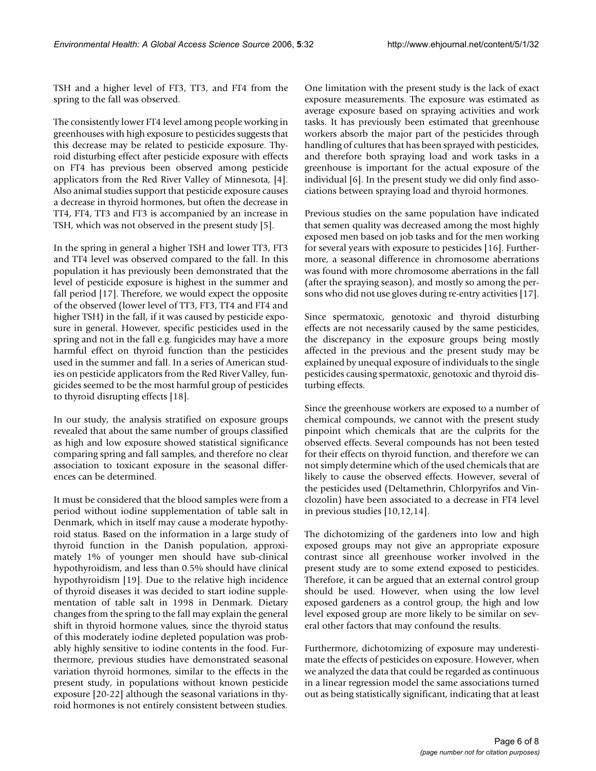TSH and a higher level of FT3, TT3, and FT4 from the spring to the fall was observed.

The consistently lower FT4 level among people working in greenhouses with high exposure to pesticides suggests that this decrease may be related to pesticide exposure. Thyroid disturbing effect after pesticide exposure with effects on FT4 has previous been observed among pesticide applicators from the Red River Valley of Minnesota, [4]. Also animal studies support that pesticide exposure causes a decrease in thyroid hormones, but often the decrease in TT4, FT4, TT3 and FT3 is accompanied by an increase in TSH, which was not observed in the present study [5].

In the spring in general a higher TSH and lower TT3, FT3 and TT4 level was observed compared to the fall. In this population it has previously been demonstrated that the level of pesticide exposure is highest in the summer and fall period [17]. Therefore, we would expect the opposite of the observed (lower level of TT3, FT3, TT4 and FT4 and higher TSH) in the fall, if it was caused by pesticide exposure in general. However, specific pesticides used in the spring and not in the fall e.g. fungicides may have a more harmful effect on thyroid function than the pesticides used in the summer and fall. In a series of American studies on pesticide applicators from the Red River Valley, fungicides seemed to be the most harmful group of pesticides to thyroid disrupting effects [18].

In our study, the analysis stratified on exposure groups revealed that about the same number of groups classified as high and low exposure showed statistical significance comparing spring and fall samples, and therefore no clear association to toxicant exposure in the seasonal differences can be determined.

It must be considered that the blood samples were from a period without iodine supplementation of table salt in Denmark, which in itself may cause a moderate hypothyroid status. Based on the information in a large study of thyroid function in the Danish population, approximately 1% of younger men should have sub-clinical hypothyroidism, and less than 0.5% should have clinical hypothyroidism [19]. Due to the relative high incidence of thyroid diseases it was decided to start iodine supplementation of table salt in 1998 in Denmark. Dietary changes from the spring to the fall may explain the general shift in thyroid hormone values, since the thyroid status of this moderately iodine depleted population was probably highly sensitive to iodine contents in the food. Furthermore, previous studies have demonstrated seasonal variation thyroid hormones, similar to the effects in the present study, in populations without known pesticide exposure [20-22] although the seasonal variations in thyroid hormones is not entirely consistent between studies.

One limitation with the present study is the lack of exact exposure measurements. The exposure was estimated as average exposure based on spraying activities and work tasks. It has previously been estimated that greenhouse workers absorb the major part of the pesticides through handling of cultures that has been sprayed with pesticides, and therefore both spraying load and work tasks in a greenhouse is important for the actual exposure of the individual [6]. In the present study we did only find associations between spraying load and thyroid hormones.

Previous studies on the same population have indicated that semen quality was decreased among the most highly exposed men based on job tasks and for the men working for several years with exposure to pesticides [16]. Furthermore, a seasonal difference in chromosome aberrations was found with more chromosome aberrations in the fall (after the spraying season), and mostly so among the persons who did not use gloves during re-entry activities [17].

Since spermatoxic, genotoxic and thyroid disturbing effects are not necessarily caused by the same pesticides, the discrepancy in the exposure groups being mostly affected in the previous and the present study may be explained by unequal exposure of individuals to the single pesticides causing spermatoxic, genotoxic and thyroid disturbing effects.

Since the greenhouse workers are exposed to a number of chemical compounds, we cannot with the present study pinpoint which chemicals that are the culprits for the observed effects. Several compounds has not been tested for their effects on thyroid function, and therefore we can not simply determine which of the used chemicals that are likely to cause the observed effects. However, several of the pesticides used (Deltamethrin, Chlorpyrifos and Vinclozolin) have been associated to a decrease in FT4 level in previous studies [10,12,14].

The dichotomizing of the gardeners into low and high exposed groups may not give an appropriate exposure contrast since all greenhouse worker involved in the present study are to some extend exposed to pesticides. Therefore, it can be argued that an external control group should be used. However, when using the low level exposed gardeners as a control group, the high and low level exposed group are more likely to be similar on several other factors that may confound the results.

Furthermore, dichotomizing of exposure may underestimate the effects of pesticides on exposure. However, when we analyzed the data that could be regarded as continuous in a linear regression model the same associations turned out as being statistically significant, indicating that at least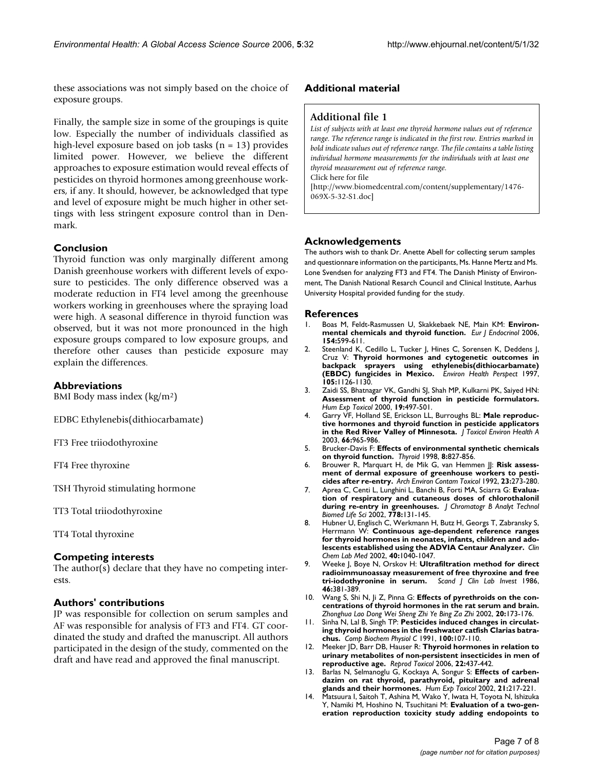these associations was not simply based on the choice of exposure groups.

Finally, the sample size in some of the groupings is quite low. Especially the number of individuals classified as high-level exposure based on job tasks (n = 13) provides limited power. However, we believe the different approaches to exposure estimation would reveal effects of pesticides on thyroid hormones among greenhouse workers, if any. It should, however, be acknowledged that type and level of exposure might be much higher in other settings with less stringent exposure control than in Denmark.

# **Conclusion**

Thyroid function was only marginally different among Danish greenhouse workers with different levels of exposure to pesticides. The only difference observed was a moderate reduction in FT4 level among the greenhouse workers working in greenhouses where the spraying load were high. A seasonal difference in thyroid function was observed, but it was not more pronounced in the high exposure groups compared to low exposure groups, and therefore other causes than pesticide exposure may explain the differences.

# **Abbreviations**

BMI Body mass index (kg/m2)

EDBC Ethylenebis(dithiocarbamate)

FT3 Free triiodothyroxine

FT4 Free thyroxine

TSH Thyroid stimulating hormone

TT3 Total triiodothyroxine

TT4 Total thyroxine

### **Competing interests**

The author(s) declare that they have no competing interests.

# **Authors' contributions**

JP was responsible for collection on serum samples and AF was responsible for analysis of FT3 and FT4. GT coordinated the study and drafted the manuscript. All authors participated in the design of the study, commented on the draft and have read and approved the final manuscript.

# **Additional material**

### **Additional file 1**

*List of subjects with at least one thyroid hormone values out of reference*  range. The reference range is indicated in the first row. Entries marked in *bold indicate values out of reference range. The file contains a table listing individual hormone measurements for the individuals with at least one thyroid measurement out of reference range.* Click here for file [\[http://www.biomedcentral.com/content/supplementary/1476-](http://www.biomedcentral.com/content/supplementary/1476-069X-5-32-S1.doc)

### **Acknowledgements**

069X-5-32-S1.doc]

The authors wish to thank Dr. Anette Abell for collecting serum samples and questionnare information on the participants, Ms. Hanne Mertz and Ms. Lone Svendsen for analyzing FT3 and FT4. The Danish Ministy of Environment, The Danish National Resarch Council and Clinical Institute, Aarhus University Hospital provided funding for the study.

### **References**

- 1. Boas M, Feldt-Rasmussen U, Skakkebaek NE, Main KM: **[Environ](http://www.ncbi.nlm.nih.gov/entrez/query.fcgi?cmd=Retrieve&db=PubMed&dopt=Abstract&list_uids=16645005)[mental chemicals and thyroid function.](http://www.ncbi.nlm.nih.gov/entrez/query.fcgi?cmd=Retrieve&db=PubMed&dopt=Abstract&list_uids=16645005)** *Eur J Endocrinol* 2006, **154:**599-611.
- 2. Steenland K, Cedillo L, Tucker J, Hines C, Sorensen K, Deddens J, Cruz V: **[Thyroid hormones and cytogenetic outcomes in](http://www.ncbi.nlm.nih.gov/entrez/query.fcgi?cmd=Retrieve&db=PubMed&dopt=Abstract&list_uids=9349837) [backpack sprayers using ethylenebis\(dithiocarbamate\)](http://www.ncbi.nlm.nih.gov/entrez/query.fcgi?cmd=Retrieve&db=PubMed&dopt=Abstract&list_uids=9349837) [\(EBDC\) fungicides in Mexico.](http://www.ncbi.nlm.nih.gov/entrez/query.fcgi?cmd=Retrieve&db=PubMed&dopt=Abstract&list_uids=9349837)** *Environ Health Perspect* 1997, **105:**1126-1130.
- 3. Zaidi SS, Bhatnagar VK, Gandhi SJ, Shah MP, Kulkarni PK, Saiyed HN: **[Assessment of thyroid function in pesticide formulators.](http://www.ncbi.nlm.nih.gov/entrez/query.fcgi?cmd=Retrieve&db=PubMed&dopt=Abstract&list_uids=11204551)** *Hum Exp Toxicol* 2000, **19:**497-501.
- 4. Garry VF, Holland SE, Erickson LL, Burroughs BL: **[Male reproduc](http://www.ncbi.nlm.nih.gov/entrez/query.fcgi?cmd=Retrieve&db=PubMed&dopt=Abstract&list_uids=12775511)[tive hormones and thyroid function in pesticide applicators](http://www.ncbi.nlm.nih.gov/entrez/query.fcgi?cmd=Retrieve&db=PubMed&dopt=Abstract&list_uids=12775511) [in the Red River Valley of Minnesota.](http://www.ncbi.nlm.nih.gov/entrez/query.fcgi?cmd=Retrieve&db=PubMed&dopt=Abstract&list_uids=12775511)** *J Toxicol Environ Health A* 2003, **66:**965-986.
- 5. Brucker-Davis F: **[Effects of environmental synthetic chemicals](http://www.ncbi.nlm.nih.gov/entrez/query.fcgi?cmd=Retrieve&db=PubMed&dopt=Abstract&list_uids=9777756) [on thyroid function.](http://www.ncbi.nlm.nih.gov/entrez/query.fcgi?cmd=Retrieve&db=PubMed&dopt=Abstract&list_uids=9777756)** *Thyroid* 1998, **8:**827-856.
- 6. Brouwer R, Marquart H, de Mik G, van Hemmen JJ: **[Risk assess](http://www.ncbi.nlm.nih.gov/entrez/query.fcgi?cmd=Retrieve&db=PubMed&dopt=Abstract&list_uids=1333747)[ment of dermal exposure of greenhouse workers to pesti](http://www.ncbi.nlm.nih.gov/entrez/query.fcgi?cmd=Retrieve&db=PubMed&dopt=Abstract&list_uids=1333747)[cides after re-entry.](http://www.ncbi.nlm.nih.gov/entrez/query.fcgi?cmd=Retrieve&db=PubMed&dopt=Abstract&list_uids=1333747)** *Arch Environ Contam Toxicol* 1992, **23:**273-280.
- 7. Aprea C, Centi L, Lunghini L, Banchi B, Forti MA, Sciarra G: **[Evalua](http://www.ncbi.nlm.nih.gov/entrez/query.fcgi?cmd=Retrieve&db=PubMed&dopt=Abstract&list_uids=12376121)[tion of respiratory and cutaneous doses of chlorothalonil](http://www.ncbi.nlm.nih.gov/entrez/query.fcgi?cmd=Retrieve&db=PubMed&dopt=Abstract&list_uids=12376121) [during re-entry in greenhouses.](http://www.ncbi.nlm.nih.gov/entrez/query.fcgi?cmd=Retrieve&db=PubMed&dopt=Abstract&list_uids=12376121)** *J Chromatogr B Analyt Technol Biomed Life Sci* 2002, **778:**131-145.
- 8. Hubner U, Englisch C, Werkmann H, Butz H, Georgs T, Zabransky S, Herrmann W: **[Continuous age-dependent reference ranges](http://www.ncbi.nlm.nih.gov/entrez/query.fcgi?cmd=Retrieve&db=PubMed&dopt=Abstract&list_uids=12476946) [for thyroid hormones in neonates, infants, children and ado](http://www.ncbi.nlm.nih.gov/entrez/query.fcgi?cmd=Retrieve&db=PubMed&dopt=Abstract&list_uids=12476946)[lescents established using the ADVIA Centaur Analyzer.](http://www.ncbi.nlm.nih.gov/entrez/query.fcgi?cmd=Retrieve&db=PubMed&dopt=Abstract&list_uids=12476946)** *Clin Chem Lab Med* 2002, **40:**1040-1047.
- 9. Weeke J, Boye N, Orskov H: **[Ultrafiltration method for direct](http://www.ncbi.nlm.nih.gov/entrez/query.fcgi?cmd=Retrieve&db=PubMed&dopt=Abstract&list_uids=3726446) [radioimmunoassay measurement of free thyroxine and free](http://www.ncbi.nlm.nih.gov/entrez/query.fcgi?cmd=Retrieve&db=PubMed&dopt=Abstract&list_uids=3726446) [tri-iodothyronine in serum.](http://www.ncbi.nlm.nih.gov/entrez/query.fcgi?cmd=Retrieve&db=PubMed&dopt=Abstract&list_uids=3726446)** *Scand J Clin Lab Invest* 1986, **46:**381-389.
- 10. Wang S, Shi N, Ji Z, Pinna G: **[Effects of pyrethroids on the con](http://www.ncbi.nlm.nih.gov/entrez/query.fcgi?cmd=Retrieve&db=PubMed&dopt=Abstract&list_uids=14694632)[centrations of thyroid hormones in the rat serum and brain.](http://www.ncbi.nlm.nih.gov/entrez/query.fcgi?cmd=Retrieve&db=PubMed&dopt=Abstract&list_uids=14694632)** *Zhonghua Lao Dong Wei Sheng Zhi Ye Bing Za Zhi* 2002, **20:**173-176.
- 11. Sinha N, Lal B, Singh TP: **[Pesticides induced changes in circulat](http://www.ncbi.nlm.nih.gov/entrez/query.fcgi?cmd=Retrieve&db=PubMed&dopt=Abstract&list_uids=1677838)[ing thyroid hormones in the freshwater catfish Clarias batra](http://www.ncbi.nlm.nih.gov/entrez/query.fcgi?cmd=Retrieve&db=PubMed&dopt=Abstract&list_uids=1677838)[chus.](http://www.ncbi.nlm.nih.gov/entrez/query.fcgi?cmd=Retrieve&db=PubMed&dopt=Abstract&list_uids=1677838)** *Comp Biochem Physiol C* 1991, **100:**107-110.
- 12. Meeker JD, Barr DB, Hauser R: **[Thyroid hormones in relation to](http://www.ncbi.nlm.nih.gov/entrez/query.fcgi?cmd=Retrieve&db=PubMed&dopt=Abstract&list_uids=16584866) [urinary metabolites of non-persistent insecticides in men of](http://www.ncbi.nlm.nih.gov/entrez/query.fcgi?cmd=Retrieve&db=PubMed&dopt=Abstract&list_uids=16584866) [reproductive age.](http://www.ncbi.nlm.nih.gov/entrez/query.fcgi?cmd=Retrieve&db=PubMed&dopt=Abstract&list_uids=16584866)** *Reprod Toxicol* 2006, **22:**437-442.
- 13. Barlas N, Selmanoglu G, Kockaya A, Songur S: **[Effects of carben](http://www.ncbi.nlm.nih.gov/entrez/query.fcgi?cmd=Retrieve&db=PubMed&dopt=Abstract&list_uids=12099623)[dazim on rat thyroid, parathyroid, pituitary and adrenal](http://www.ncbi.nlm.nih.gov/entrez/query.fcgi?cmd=Retrieve&db=PubMed&dopt=Abstract&list_uids=12099623) [glands and their hormones.](http://www.ncbi.nlm.nih.gov/entrez/query.fcgi?cmd=Retrieve&db=PubMed&dopt=Abstract&list_uids=12099623)** *Hum Exp Toxicol* 2002, **21:**217-221.
- 14. Matsuura I, Saitoh T, Ashina M, Wako Y, Iwata H, Toyota N, Ishizuka Y, Namiki M, Hoshino N, Tsuchitani M: **[Evaluation of a two-gen](http://www.ncbi.nlm.nih.gov/entrez/query.fcgi?cmd=Retrieve&db=PubMed&dopt=Abstract&list_uids=16641540)[eration reproduction toxicity study adding endopoints to](http://www.ncbi.nlm.nih.gov/entrez/query.fcgi?cmd=Retrieve&db=PubMed&dopt=Abstract&list_uids=16641540)**